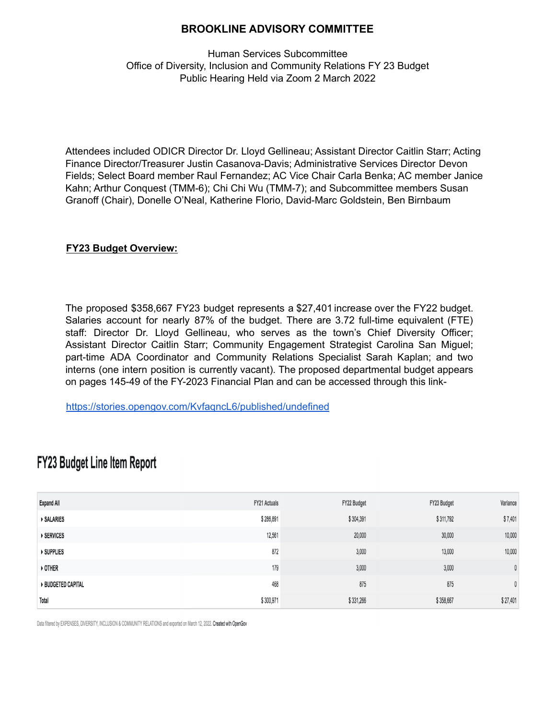## **BROOKLINE ADVISORY COMMITTEE**

Human Services Subcommittee Office of Diversity, Inclusion and Community Relations FY 23 Budget Public Hearing Held via Zoom 2 March 2022

Attendees included ODICR Director Dr. Lloyd Gellineau; Assistant Director Caitlin Starr; Acting Finance Director/Treasurer Justin Casanova-Davis; Administrative Services Director Devon Fields; Select Board member Raul Fernandez; AC Vice Chair Carla Benka; AC member Janice Kahn; Arthur Conquest (TMM-6); Chi Chi Wu (TMM-7); and Subcommittee members Susan Granoff (Chair), Donelle O'Neal, Katherine Florio, David-Marc Goldstein, Ben Birnbaum

#### **FY23 Budget Overview:**

The proposed \$358,667 FY23 budget represents a \$27,401 increase over the FY22 budget. Salaries account for nearly 87% of the budget. There are 3.72 full-time equivalent (FTE) staff: Director Dr. Lloyd Gellineau, who serves as the town's Chief Diversity Officer; Assistant Director Caitlin Starr; Community Engagement Strategist Carolina San Miguel; part-time ADA Coordinator and Community Relations Specialist Sarah Kaplan; and two interns (one intern position is currently vacant). The proposed departmental budget appears on pages 145-49 of the FY-2023 Financial Plan and can be accessed through this link-

<https://stories.opengov.com/KvfaqncL6/published/undefined>

| <b>Expand All</b>       | <b>FY21 Actuals</b> | FY22 Budget | FY23 Budget | Variance     |
|-------------------------|---------------------|-------------|-------------|--------------|
| <b>SALARIES</b>         | \$286,891           | \$304,391   | \$311,792   | \$7,401      |
| ▶ SERVICES              | 12,561              | 20,000      | 30,000      | 10,000       |
| ▶ SUPPLIES              | 872                 | 3,000       | 13,000      | 10,000       |
| ▶ OTHER                 | 179                 | 3,000       | 3,000       | $\mathbf{0}$ |
| <b>BUDGETED CAPITAL</b> | 468                 | 875         | 875         | $\mathbf{0}$ |
| Total                   | \$300,971           | \$331,266   | \$358,667   | \$27,401     |

# **FY23 Budget Line Item Report**

Data filtered by EXPENSES, DIVERSITY, INCLUSION & COMMUNITY RELATIONS and exported on March 12, 2022. Created with OpenGov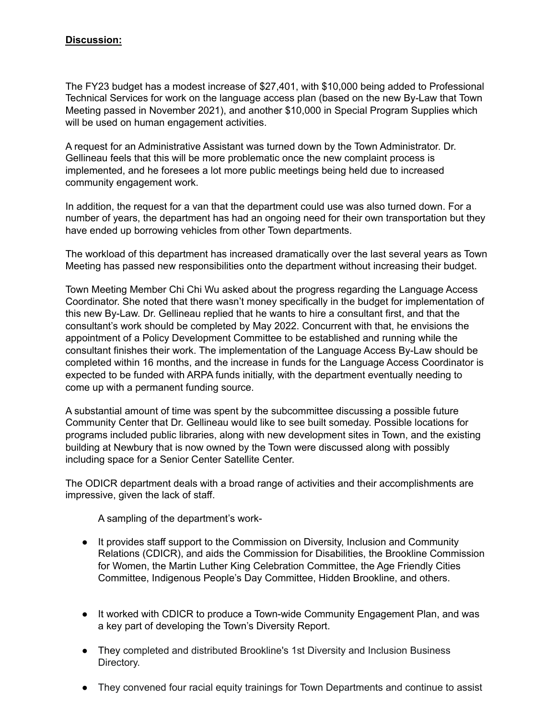## **Discussion:**

The FY23 budget has a modest increase of \$27,401, with \$10,000 being added to Professional Technical Services for work on the language access plan (based on the new By-Law that Town Meeting passed in November 2021), and another \$10,000 in Special Program Supplies which will be used on human engagement activities.

A request for an Administrative Assistant was turned down by the Town Administrator. Dr. Gellineau feels that this will be more problematic once the new complaint process is implemented, and he foresees a lot more public meetings being held due to increased community engagement work.

In addition, the request for a van that the department could use was also turned down. For a number of years, the department has had an ongoing need for their own transportation but they have ended up borrowing vehicles from other Town departments.

The workload of this department has increased dramatically over the last several years as Town Meeting has passed new responsibilities onto the department without increasing their budget.

Town Meeting Member Chi Chi Wu asked about the progress regarding the Language Access Coordinator. She noted that there wasn't money specifically in the budget for implementation of this new By-Law. Dr. Gellineau replied that he wants to hire a consultant first, and that the consultant's work should be completed by May 2022. Concurrent with that, he envisions the appointment of a Policy Development Committee to be established and running while the consultant finishes their work. The implementation of the Language Access By-Law should be completed within 16 months, and the increase in funds for the Language Access Coordinator is expected to be funded with ARPA funds initially, with the department eventually needing to come up with a permanent funding source.

A substantial amount of time was spent by the subcommittee discussing a possible future Community Center that Dr. Gellineau would like to see built someday. Possible locations for programs included public libraries, along with new development sites in Town, and the existing building at Newbury that is now owned by the Town were discussed along with possibly including space for a Senior Center Satellite Center.

The ODICR department deals with a broad range of activities and their accomplishments are impressive, given the lack of staff.

A sampling of the department's work-

- It provides staff support to the Commission on Diversity, Inclusion and Community Relations (CDICR), and aids the Commission for Disabilities, the Brookline Commission for Women, the Martin Luther King Celebration Committee, the Age Friendly Cities Committee, Indigenous People's Day Committee, Hidden Brookline, and others.
- It worked with CDICR to produce a Town-wide Community Engagement Plan, and was a key part of developing the Town's Diversity Report.
- They completed and distributed Brookline's 1st Diversity and Inclusion Business Directory.
- They convened four racial equity trainings for Town Departments and continue to assist